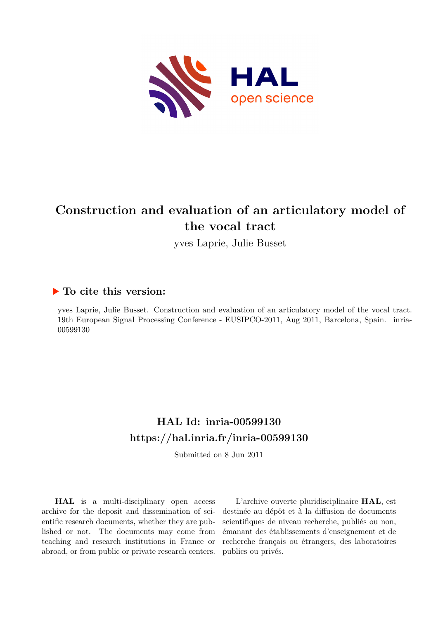

# **Construction and evaluation of an articulatory model of the vocal tract**

yves Laprie, Julie Busset

### **To cite this version:**

yves Laprie, Julie Busset. Construction and evaluation of an articulatory model of the vocal tract. 19th European Signal Processing Conference - EUSIPCO-2011, Aug 2011, Barcelona, Spain. inria-00599130ff

## **HAL Id: inria-00599130 <https://hal.inria.fr/inria-00599130>**

Submitted on 8 Jun 2011

**HAL** is a multi-disciplinary open access archive for the deposit and dissemination of scientific research documents, whether they are published or not. The documents may come from teaching and research institutions in France or abroad, or from public or private research centers.

L'archive ouverte pluridisciplinaire **HAL**, est destinée au dépôt et à la diffusion de documents scientifiques de niveau recherche, publiés ou non, émanant des établissements d'enseignement et de recherche français ou étrangers, des laboratoires publics ou privés.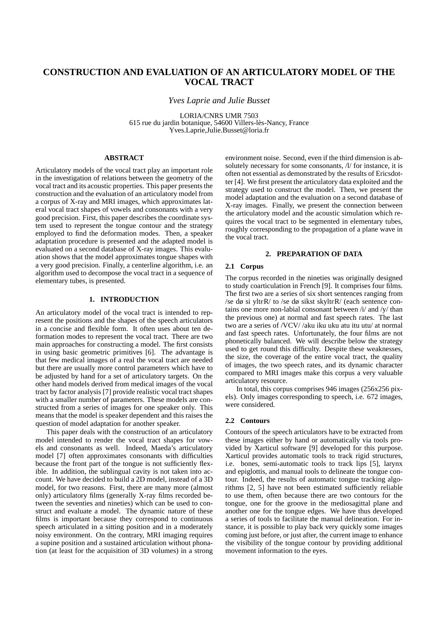### **CONSTRUCTION AND EVALUATION OF AN ARTICULATORY MODEL OF THE VOCAL TRACT**

*Yves Laprie and Julie Busset*

LORIA/CNRS UMR 7503 615 rue du jardin botanique, 54600 Villers-les-Nancy, France ` Yves.Laprie,Julie.Busset@loria.fr

#### **ABSTRACT**

Articulatory models of the vocal tract play an important role in the investigation of relations between the geometry of the vocal tract and its acoustic properties. This paper presents the construction and the evaluation of an articulatory model from a corpus of X-ray and MRI images, which approximates lateral vocal tract shapes of vowels and consonants with a very good precision. First, this paper describes the coordinate system used to represent the tongue contour and the strategy employed to find the deformation modes. Then, a speaker adaptation procedure is presented and the adapted model is evaluated on a second database of X-ray images. This evaluation shows that the model approximates tongue shapes with a very good precision. Finally, a centerline algorithm, i.e. an algorithm used to decompose the vocal tract in a sequence of elementary tubes, is presented.

#### **1. INTRODUCTION**

An articulatory model of the vocal tract is intended to represent the positions and the shapes of the speech articulators in a concise and flexible form. It often uses about ten deformation modes to represent the vocal tract. There are two main approaches for constructing a model. The first consists in using basic geometric primitives [6]. The advantage is that few medical images of a real the vocal tract are needed but there are usually more control parameters which have to be adjusted by hand for a set of articulatory targets. On the other hand models derived from medical images of the vocal tract by factor analysis [7] provide realistic vocal tract shapes with a smaller number of parameters. These models are constructed from a series of images for one speaker only. This means that the model is speaker dependent and this raises the question of model adaptation for another speaker.

This paper deals with the construction of an articulatory model intended to render the vocal tract shapes for vowels and consonants as well. Indeed, Maeda's articulatory model [7] often approximates consonants with difficulties because the front part of the tongue is not sufficiently flexible. In addition, the sublingual cavity is not taken into account. We have decided to build a 2D model, instead of a 3D model, for two reasons. First, there are many more (almost only) articulatory films (generally X-ray films recorded between the seventies and nineties) which can be used to construct and evaluate a model. The dynamic nature of these films is important because they correspond to continuous speech articulated in a sitting position and in a moderately noisy environment. On the contrary, MRI imaging requires a supine position and a sustained articulation without phonation (at least for the acquisition of 3D volumes) in a strong

environment noise. Second, even if the third dimension is absolutely necessary for some consonants,  $\Lambda$  for instance, it is often not essential as demonstrated by the results of Ericsdotter [4]. We first present the articulatory data exploited and the strategy used to construct the model. Then, we present the model adaptation and the evaluation on a second database of X-ray images. Finally, we present the connection between the articulatory model and the acoustic simulation which requires the vocal tract to be segmented in elementary tubes, roughly corresponding to the propagation of a plane wave in the vocal tract.

#### **2. PREPARATION OF DATA**

#### **2.1 Corpus**

The corpus recorded in the nineties was originally designed to study coarticulation in French [9]. It comprises four films. The first two are a series of six short sentences ranging from /se dø si ylteR/ to /se dø sikst skylteR/ (each sentence contains one more non-labial consonant between /i/ and /y/ than the previous one) at normal and fast speech rates. The last two are a series of /VCV/ /aku iku uku atu itu utu/ at normal and fast speech rates. Unfortunately, the four films are not phonetically balanced. We will describe below the strategy used to get round this difficulty. Despite these weaknesses, the size, the coverage of the entire vocal tract, the quality of images, the two speech rates, and its dynamic character compared to MRI images make this corpus a very valuable articulatory resource.

In total, this corpus comprises 946 images (256x256 pixels). Only images corresponding to speech, i.e. 672 images, were considered.

#### **2.2 Contours**

Contours of the speech articulators have to be extracted from these images either by hand or automatically via tools provided by Xarticul software [9] developed for this purpose. Xarticul provides automatic tools to track rigid structures, i.e. bones, semi-automatic tools to track lips [5], larynx and epiglottis, and manual tools to delineate the tongue contour. Indeed, the results of automatic tongue tracking algorithms [2, 5] have not been estimated sufficiently reliable to use them, often because there are two contours for the tongue, one for the groove in the mediosagittal plane and another one for the tongue edges. We have thus developed a series of tools to facilitate the manual delineation. For instance, it is possible to play back very quickly some images coming just before, or just after, the current image to enhance the visibility of the tongue contour by providing additional movement information to the eyes.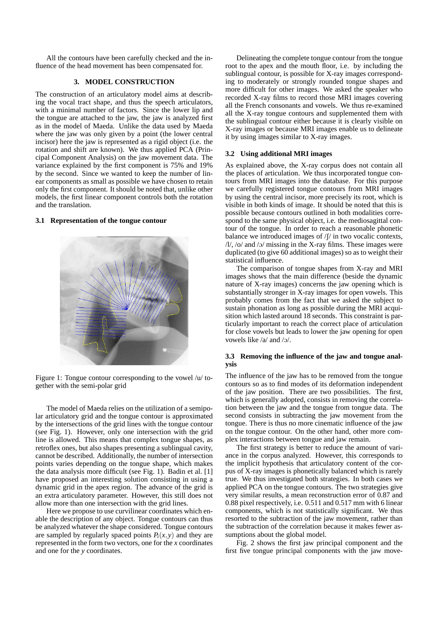All the contours have been carefully checked and the influence of the head movement has been compensated for.

#### **3. MODEL CONSTRUCTION**

The construction of an articulatory model aims at describing the vocal tract shape, and thus the speech articulators, with a minimal number of factors. Since the lower lip and the tongue are attached to the jaw, the jaw is analyzed first as in the model of Maeda. Unlike the data used by Maeda where the jaw was only given by a point (the lower central incisor) here the jaw is represented as a rigid object (i.e. the rotation and shift are known). We thus applied PCA (Principal Component Analysis) on the jaw movement data. The variance explained by the first component is 75% and 19% by the second. Since we wanted to keep the number of linear components as small as possible we have chosen to retain only the first component. It should be noted that, unlike other models, the first linear component controls both the rotation and the translation.

#### **3.1 Representation of the tongue contour**





The model of Maeda relies on the utilization of a semipolar articulatory grid and the tongue contour is approximated by the intersections of the grid lines with the tongue contour (see Fig. 1). However, only one intersection with the grid line is allowed. This means that complex tongue shapes, as retroflex ones, but also shapes presenting a sublingual cavity, cannot be described. Additionally, the number of intersection points varies depending on the tongue shape, which makes the data analysis more difficult (see Fig. 1). Badin et al. [1] have proposed an interesting solution consisting in using a dynamic grid in the apex region. The advance of the grid is an extra articulatory parameter. However, this still does not allow more than one intersection with the grid lines.

Here we propose to use curvilinear coordinates which enable the description of any object. Tongue contours can thus be analyzed whatever the shape considered. Tongue contours are sampled by regularly spaced points  $P_i(x, y)$  and they are represented in the form two vectors, one for the *x* coordinates and one for the *y* coordinates.

Delineating the complete tongue contour from the tongue root to the apex and the mouth floor, i.e. by including the sublingual contour, is possible for X-ray images corresponding to moderately or strongly rounded tongue shapes and more difficult for other images. We asked the speaker who recorded X-ray films to record those MRI images covering all the French consonants and vowels. We thus re-examined all the X-ray tongue contours and supplemented them with the sublingual contour either because it is clearly visible on X-ray images or because MRI images enable us to delineate it by using images similar to X-ray images.

#### **3.2 Using additional MRI images**

As explained above, the X-ray corpus does not contain all the places of articulation. We thus incorporated tongue contours from MRI images into the database. For this purpose we carefully registered tongue contours from MRI images by using the central incisor, more precisely its root, which is visible in both kinds of image. It should be noted that this is possible because contours outlined in both modalities correspond to the same physical object, i.e. the mediosagittal contour of the tongue. In order to reach a reasonable phonetic balance we introduced images of  $/f$  in two vocalic contexts,  $/$ l/,  $/$ o $/$  and  $/$ o $/$  missing in the X-ray films. These images were duplicated (to give 60 additional images) so as to weight their statistical influence.

The comparison of tongue shapes from X-ray and MRI images shows that the main difference (beside the dynamic nature of X-ray images) concerns the jaw opening which is substantially stronger in X-ray images for open vowels. This probably comes from the fact that we asked the subject to sustain phonation as long as possible during the MRI acquisition which lasted around 18 seconds. This constraint is particularly important to reach the correct place of articulation for close vowels but leads to lower the jaw opening for open vowels like /a/ and /o/.

#### **3.3 Removing the influence of the jaw and tongue analysis**

The influence of the jaw has to be removed from the tongue contours so as to find modes of its deformation independent of the jaw position. There are two possibilities. The first, which is generally adopted, consists in removing the correlation between the jaw and the tongue from tongue data. The second consists in subtracting the jaw movement from the tongue. There is thus no more cinematic influence of the jaw on the tongue contour. On the other hand, other more complex interactions between tongue and jaw remain.

The first strategy is better to reduce the amount of variance in the corpus analyzed. However, this corresponds to the implicit hypothesis that articulatory content of the corpus of X-ray images is phonetically balanced which is rarely true. We thus investigated both strategies. In both cases we applied PCA on the tongue contours. The two strategies give very similar results, a mean reconstruction error of 0.87 and 0.88 pixel respectively, i.e. 0.511 and 0.517 mm with 6 linear components, which is not statistically significant. We thus resorted to the subtraction of the jaw movement, rather than the subtraction of the correlation because it makes fewer assumptions about the global model.

Fig. 2 shows the first jaw principal component and the first five tongue principal components with the jaw move-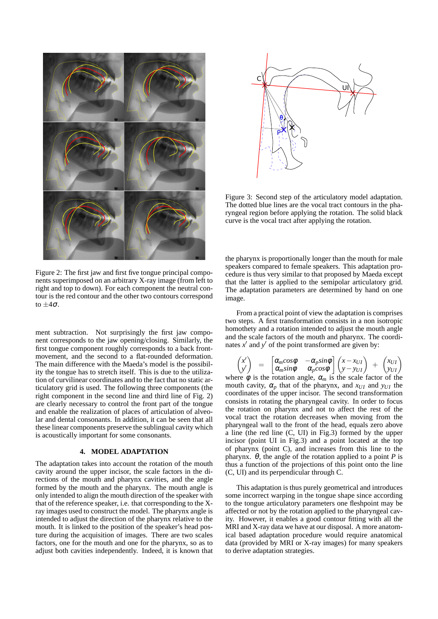

Figure 2: The first jaw and first five tongue principal components superimposed on an arbitrary X-ray image (from left to right and top to down). For each component the neutral contour is the red contour and the other two contours correspond to  $+4\sigma$ .

ment subtraction. Not surprisingly the first jaw component corresponds to the jaw opening/closing. Similarly, the first tongue component roughly corresponds to a back frontmovement, and the second to a flat-rounded deformation. The main difference with the Maeda's model is the possibility the tongue has to stretch itself. This is due to the utilization of curvilinear coordinates and to the fact that no static articulatory grid is used. The following three components (the right component in the second line and third line of Fig. 2) are clearly necessary to control the front part of the tongue and enable the realization of places of articulation of alveolar and dental consonants. In addition, it can be seen that all these linear components preserve the sublingual cavity which is acoustically important for some consonants.

#### **4. MODEL ADAPTATION**

The adaptation takes into account the rotation of the mouth cavity around the upper incisor, the scale factors in the directions of the mouth and pharynx cavities, and the angle formed by the mouth and the pharynx. The mouth angle is only intended to align the mouth direction of the speaker with that of the reference speaker, i.e. that corresponding to the Xray images used to construct the model. The pharynx angle is intended to adjust the direction of the pharynx relative to the mouth. It is linked to the position of the speaker's head posture during the acquisition of images. There are two scales factors, one for the mouth and one for the pharynx, so as to adjust both cavities independently. Indeed, it is known that



Figure 3: Second step of the articulatory model adaptation. The dotted blue lines are the vocal tract contours in the pharyngeal region before applying the rotation. The solid black curve is the vocal tract after applying the rotation.

the pharynx is proportionally longer than the mouth for male speakers compared to female speakers. This adaptation procedure is thus very similar to that proposed by Maeda except that the latter is applied to the semipolar articulatory grid. The adaptation parameters are determined by hand on one image.

From a practical point of view the adaptation is comprises two steps. A first transformation consists in a non isotropic homothety and a rotation intended to adjust the mouth angle and the scale factors of the mouth and pharynx. The coordinates  $x'$  and  $y'$  of the point transformed are given by:

$$
\begin{pmatrix} x' \\ y' \end{pmatrix} = \begin{bmatrix} \alpha_m cos\phi & -\alpha_p sin\phi \\ \alpha_m sin\phi & \alpha_p cos\phi \end{bmatrix} \begin{pmatrix} x - x_{UI} \\ y - y_{UI} \end{pmatrix} + \begin{pmatrix} x_{UI} \\ y_{UI} \end{pmatrix}
$$

where  $\phi$  is the rotation angle,  $\alpha_m$  is the scale factor of the mouth cavity,  $\alpha_p$  that of the pharynx, and  $x_{UI}$  and  $y_{UI}$  the coordinates of the upper incisor. The second transformation consists in rotating the pharyngeal cavity. In order to focus the rotation on pharynx and not to affect the rest of the vocal tract the rotation decreases when moving from the pharyngeal wall to the front of the head, equals zero above a line (the red line (C, UI) in Fig.3) formed by the upper incisor (point UI in Fig.3) and a point located at the top of pharynx (point C), and increases from this line to the pharynx. θ, the angle of the rotation applied to a point *P* is thus a function of the projections of this point onto the line (C, UI) and its perpendicular through C.

This adaptation is thus purely geometrical and introduces some incorrect warping in the tongue shape since according to the tongue articulatory parameters one fleshpoint may be affected or not by the rotation applied to the pharyngeal cavity. However, it enables a good contour fitting with all the MRI and X-ray data we have at our disposal. A more anatomical based adaptation procedure would require anatomical data (provided by MRI or X-ray images) for many speakers to derive adaptation strategies.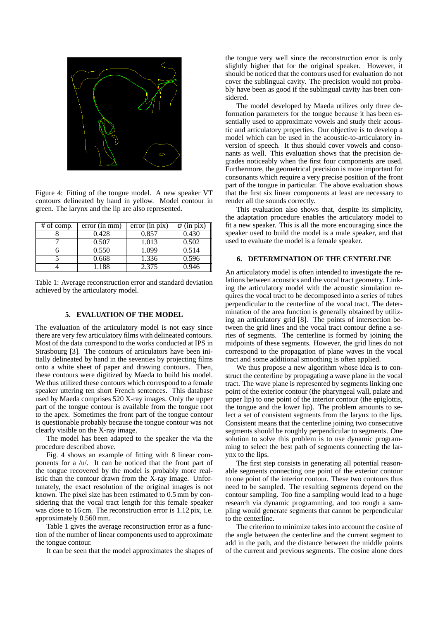

Figure 4: Fitting of the tongue model. A new speaker VT contours delineated by hand in yellow. Model contour in green. The larynx and the lip are also represented.

| $\overline{\text{#}}$ of comp. | error(in mm) | error(in pix) | $\sigma$ (in pix) |
|--------------------------------|--------------|---------------|-------------------|
|                                | 0.428        | 0.857         | 0.430             |
|                                | 0.507        | 1.013         | 0.502             |
|                                | 0.550        | 1.099         | 0.514             |
|                                | 0.668        | 1.336         | 0.596             |
|                                | 1.188        | 2.375         | 0.946             |

Table 1: Average reconstruction error and standard deviation achieved by the articulatory model.

#### **5. EVALUATION OF THE MODEL**

The evaluation of the articulatory model is not easy since there are very few articulatory films with delineated contours. Most of the data correspond to the works conducted at IPS in Strasbourg [3]. The contours of articulators have been initially delineated by hand in the seventies by projecting films onto a white sheet of paper and drawing contours. Then, these contours were digitized by Maeda to build his model. We thus utilized these contours which correspond to a female speaker uttering ten short French sentences. This database used by Maeda comprises 520 X-ray images. Only the upper part of the tongue contour is available from the tongue root to the apex. Sometimes the front part of the tongue contour is questionable probably because the tongue contour was not clearly visible on the X-ray image.

The model has been adapted to the speaker the via the procedure described above.

Fig. 4 shows an example of fitting with 8 linear components for a /u/. It can be noticed that the front part of the tongue recovered by the model is probably more realistic than the contour drawn from the X-ray image. Unfortunately, the exact resolution of the original images is not known. The pixel size has been estimated to 0.5 mm by considering that the vocal tract length for this female speaker was close to 16 cm. The reconstruction error is 1.12 pix, i.e. approximately 0.560 mm.

Table 1 gives the average reconstruction error as a function of the number of linear components used to approximate the tongue contour.

It can be seen that the model approximates the shapes of

the tongue very well since the reconstruction error is only slightly higher that for the original speaker. However, it should be noticed that the contours used for evaluation do not cover the sublingual cavity. The precision would not probably have been as good if the sublingual cavity has been considered.

The model developed by Maeda utilizes only three deformation parameters for the tongue because it has been essentially used to approximate vowels and study their acoustic and articulatory properties. Our objective is to develop a model which can be used in the acoustic-to-articulatory inversion of speech. It thus should cover vowels and consonants as well. This evaluation shows that the precision degrades noticeably when the first four components are used. Furthermore, the geometrical precision is more important for consonants which require a very precise position of the front part of the tongue in particular. The above evaluation shows that the first six linear components at least are necessary to render all the sounds correctly.

This evaluation also shows that, despite its simplicity, the adaptation procedure enables the articulatory model to fit a new speaker. This is all the more encouraging since the speaker used to build the model is a male speaker, and that used to evaluate the model is a female speaker.

#### **6. DETERMINATION OF THE CENTERLINE**

An articulatory model is often intended to investigate the relations between acoustics and the vocal tract geometry. Linking the articulatory model with the acoustic simulation requires the vocal tract to be decomposed into a series of tubes perpendicular to the centerline of the vocal tract. The determination of the area function is generally obtained by utilizing an articulatory grid [8]. The points of intersection between the grid lines and the vocal tract contour define a series of segments. The centerline is formed by joining the midpoints of these segments. However, the grid lines do not correspond to the propagation of plane waves in the vocal tract and some additional smoothing is often applied.

We thus propose a new algorithm whose idea is to construct the centerline by propagating a wave plane in the vocal tract. The wave plane is represented by segments linking one point of the exterior contour (the pharyngeal wall, palate and upper lip) to one point of the interior contour (the epiglottis, the tongue and the lower lip). The problem amounts to select a set of consistent segments from the larynx to the lips. Consistent means that the centerline joining two consecutive segments should be roughly perpendicular to segments. One solution to solve this problem is to use dynamic programming to select the best path of segments connecting the larynx to the lips.

The first step consists in generating all potential reasonable segments connecting one point of the exterior contour to one point of the interior contour. These two contours thus need to be sampled. The resulting segments depend on the contour sampling. Too fine a sampling would lead to a huge research via dynamic programming, and too rough a sampling would generate segments that cannot be perpendicular to the centerline.

The criterion to minimize takes into account the cosine of the angle between the centerline and the current segment to add in the path, and the distance between the middle points of the current and previous segments. The cosine alone does